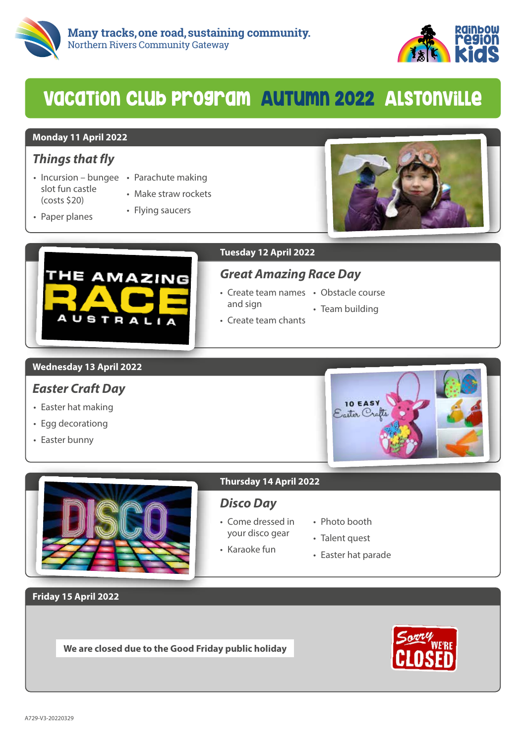



## VacaTion Club program AuTumn 2022 AlsTonville

#### **Monday 11 April 2022**

## *Things that fly*

- Incursion bungee Parachute making slot fun castle (costs \$20)
	-
	- Make straw rockets

• Flying saucers

• Paper planes





#### **Tuesday 12 April 2022**

## *Great Amazing Race Day*

- Create team names Obstacle course and sign
	-
	- Team building
- Create team chants

#### **Wednesday 13 April 2022**

## *Easter Craft Day*

- Easter hat making
- Egg decorationg
- Easter bunny



#### **Thursday 14 April 2022**

### *Disco Day*

- Come dressed in your disco gear
- Photo booth
- Talent quest
- Karaoke fun
- Easter hat parade

**Friday 15 April 2022**

**We are closed due to the Good Friday public holiday**

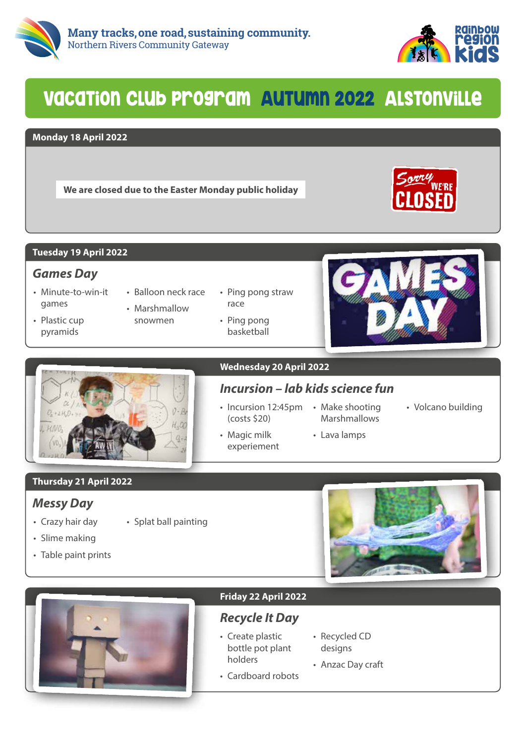



## VacaTion Club program AuTumn 2022 AlsTonville

#### **Monday 18 April 2022**

**We are closed due to the Easter Monday public holiday**



#### **Tuesday 19 April 2022**

#### *Games Day*

- Minute-to-win-it games
- Plastic cup pyramids
- Balloon neck race • Marshmallow
- snowmen

• Splat ball painting

- Ping pong straw race
- Ping pong basketball





#### **Wednesday 20 April 2022**

## *Incursion – lab kids science fun*

• Incursion 12:45pm • Make shooting (costs \$20)

experiement

- Magic milk
- Marshmallows • Volcano building
	- Lava lamps

**Thursday 21 April 2022**

### *Messy Day*

- Crazy hair day
- Slime making
- Table paint prints





#### **Friday 22 April 2022**

## *Recycle It Day*

- Create plastic bottle pot plant holders
- Recycled CD designs
- Anzac Day craft
- Cardboard robots